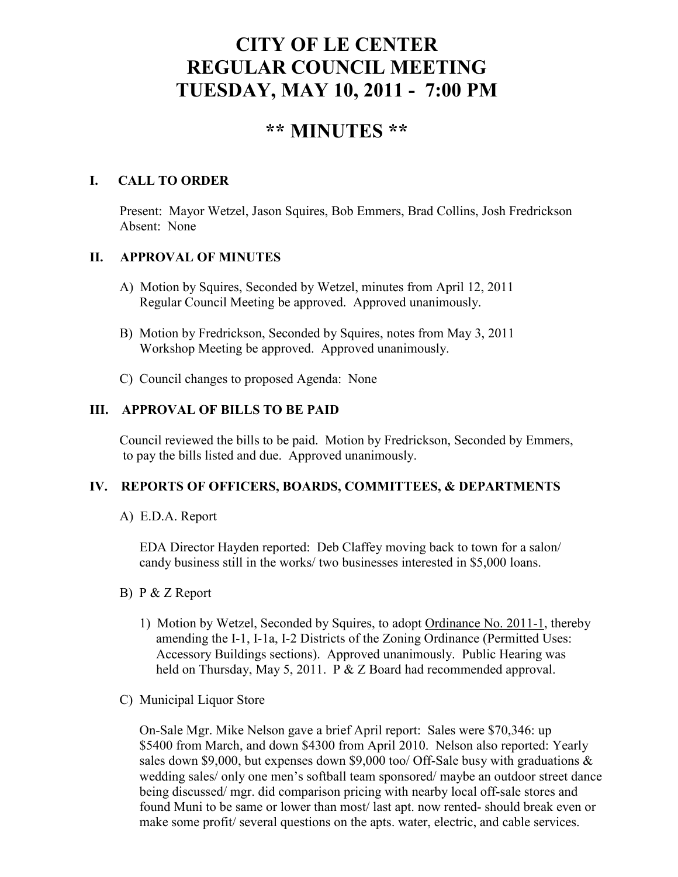# **CITY OF LE CENTER REGULAR COUNCIL MEETING TUESDAY, MAY 10, 2011 - 7:00 PM**

# **\*\* MINUTES \*\***

# **I. CALL TO ORDER**

Present: Mayor Wetzel, Jason Squires, Bob Emmers, Brad Collins, Josh Fredrickson Absent: None

### **II. APPROVAL OF MINUTES**

- A) Motion by Squires, Seconded by Wetzel, minutes from April 12, 2011 Regular Council Meeting be approved. Approved unanimously.
- B) Motion by Fredrickson, Seconded by Squires, notes from May 3, 2011 Workshop Meeting be approved. Approved unanimously.
- C) Council changes to proposed Agenda: None

## **III. APPROVAL OF BILLS TO BE PAID**

Council reviewed the bills to be paid. Motion by Fredrickson, Seconded by Emmers, to pay the bills listed and due. Approved unanimously.

### **IV. REPORTS OF OFFICERS, BOARDS, COMMITTEES, & DEPARTMENTS**

A) E.D.A. Report

 EDA Director Hayden reported: Deb Claffey moving back to town for a salon/ candy business still in the works/ two businesses interested in \$5,000 loans.

- B) P & Z Report
	- 1) Motion by Wetzel, Seconded by Squires, to adopt Ordinance No. 2011-1, thereby amending the I-1, I-1a, I-2 Districts of the Zoning Ordinance (Permitted Uses: Accessory Buildings sections). Approved unanimously. Public Hearing was held on Thursday, May 5, 2011. P & Z Board had recommended approval.
- C) Municipal Liquor Store

On-Sale Mgr. Mike Nelson gave a brief April report: Sales were \$70,346: up \$5400 from March, and down \$4300 from April 2010. Nelson also reported: Yearly sales down \$9,000, but expenses down \$9,000 too/ Off-Sale busy with graduations  $\&$ wedding sales/ only one men's softball team sponsored/ maybe an outdoor street dance being discussed/ mgr. did comparison pricing with nearby local off-sale stores and found Muni to be same or lower than most/ last apt. now rented- should break even or make some profit/ several questions on the apts. water, electric, and cable services.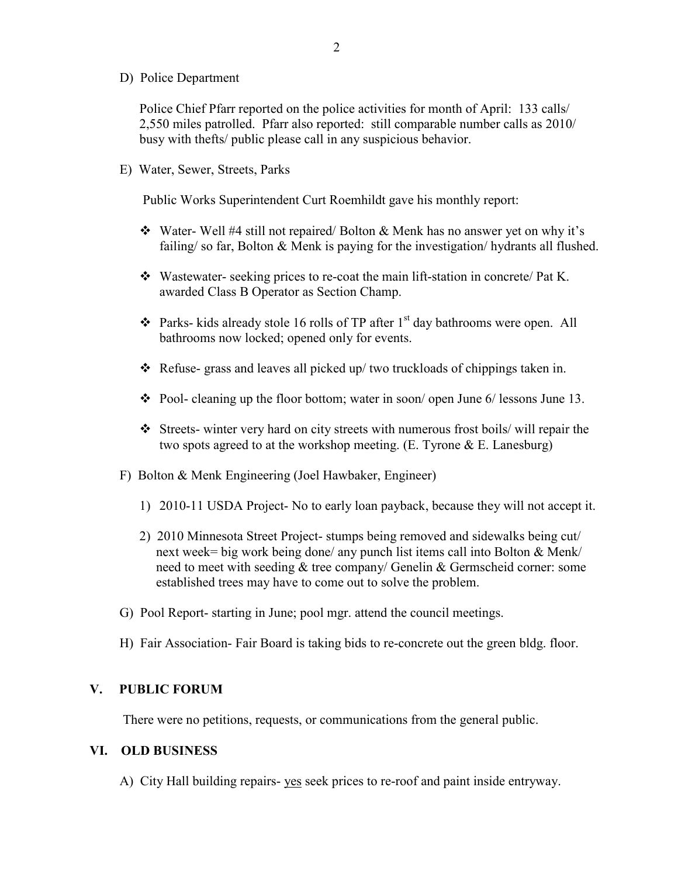D) Police Department

Police Chief Pfarr reported on the police activities for month of April: 133 calls/ 2,550 miles patrolled. Pfarr also reported: still comparable number calls as 2010/ busy with thefts/ public please call in any suspicious behavior.

E) Water, Sewer, Streets, Parks

Public Works Superintendent Curt Roemhildt gave his monthly report:

- Water- Well #4 still not repaired/ Bolton & Menk has no answer yet on why it's failing/ so far, Bolton & Menk is paying for the investigation/ hydrants all flushed.
- Wastewater- seeking prices to re-coat the main lift-station in concrete/ Pat K. awarded Class B Operator as Section Champ.
- $\triangle$  Parks- kids already stole 16 rolls of TP after 1<sup>st</sup> day bathrooms were open. All bathrooms now locked; opened only for events.
- Refuse- grass and leaves all picked up/ two truckloads of chippings taken in.
- $\div$  Pool- cleaning up the floor bottom; water in soon/ open June 6/ lessons June 13.
- Streets- winter very hard on city streets with numerous frost boils/ will repair the two spots agreed to at the workshop meeting.  $(E, T)$ yrone  $\& E$ . Lanesburg)
- F) Bolton & Menk Engineering (Joel Hawbaker, Engineer)
	- 1) 2010-11 USDA Project- No to early loan payback, because they will not accept it.
	- 2) 2010 Minnesota Street Project- stumps being removed and sidewalks being cut/ next week= big work being done/ any punch list items call into Bolton & Menk/ need to meet with seeding & tree company/ Genelin & Germscheid corner: some established trees may have to come out to solve the problem.
- G) Pool Report- starting in June; pool mgr. attend the council meetings.
- H) Fair Association- Fair Board is taking bids to re-concrete out the green bldg. floor.

#### **V. PUBLIC FORUM**

There were no petitions, requests, or communications from the general public.

## **VI. OLD BUSINESS**

A) City Hall building repairs- yes seek prices to re-roof and paint inside entryway.